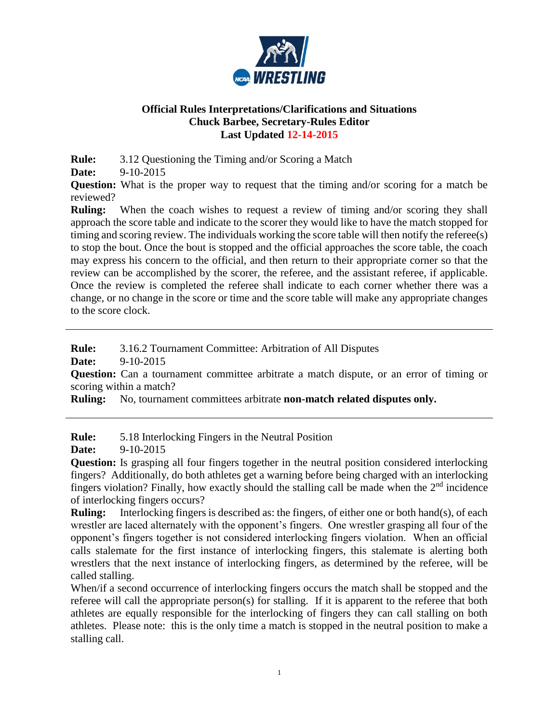

## **Official Rules Interpretations/Clarifications and Situations Chuck Barbee, Secretary-Rules Editor Last Updated 12-14-2015**

**Rule:** 3.12 Questioning the Timing and/or Scoring a Match

**Date:** 9-10-2015

**Question:** What is the proper way to request that the timing and/or scoring for a match be reviewed?

**Ruling:** When the coach wishes to request a review of timing and/or scoring they shall approach the score table and indicate to the scorer they would like to have the match stopped for timing and scoring review. The individuals working the score table will then notify the referee(s) to stop the bout. Once the bout is stopped and the official approaches the score table, the coach may express his concern to the official, and then return to their appropriate corner so that the review can be accomplished by the scorer, the referee, and the assistant referee, if applicable. Once the review is completed the referee shall indicate to each corner whether there was a change, or no change in the score or time and the score table will make any appropriate changes to the score clock.

**Rule:** 3.16.2 Tournament Committee: Arbitration of All Disputes

**Date:** 9-10-2015

**Question:** Can a tournament committee arbitrate a match dispute, or an error of timing or scoring within a match?

**Ruling:** No, tournament committees arbitrate **non-match related disputes only.** 

**Rule:** 5.18 Interlocking Fingers in the Neutral Position

**Date:** 9-10-2015

**Question:** Is grasping all four fingers together in the neutral position considered interlocking fingers? Additionally, do both athletes get a warning before being charged with an interlocking fingers violation? Finally, how exactly should the stalling call be made when the  $2<sup>nd</sup>$  incidence of interlocking fingers occurs?

**Ruling:** Interlocking fingers is described as: the fingers, of either one or both hand(s), of each wrestler are laced alternately with the opponent's fingers. One wrestler grasping all four of the opponent's fingers together is not considered interlocking fingers violation. When an official calls stalemate for the first instance of interlocking fingers, this stalemate is alerting both wrestlers that the next instance of interlocking fingers, as determined by the referee, will be called stalling.

When/if a second occurrence of interlocking fingers occurs the match shall be stopped and the referee will call the appropriate person(s) for stalling. If it is apparent to the referee that both athletes are equally responsible for the interlocking of fingers they can call stalling on both athletes. Please note: this is the only time a match is stopped in the neutral position to make a stalling call.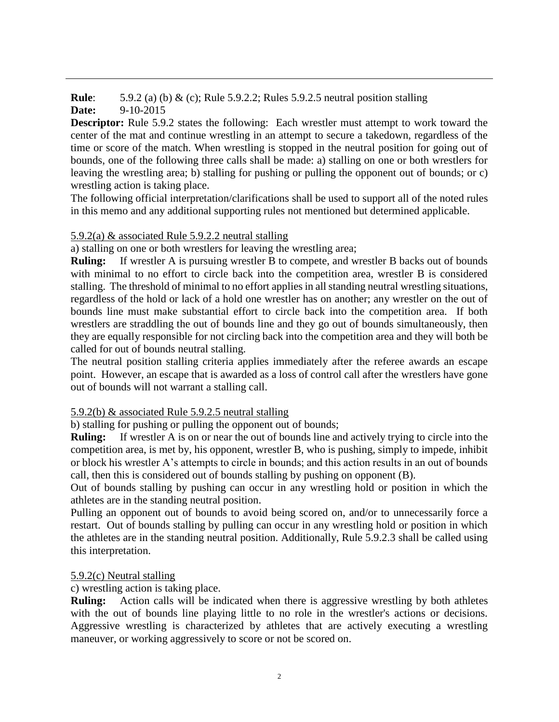**Rule**: 5.9.2 (a) (b) & (c); Rule 5.9.2.2; Rules 5.9.2.5 neutral position stalling **Date:** 9-10-2015

**Descriptor:** Rule 5.9.2 states the following: Each wrestler must attempt to work toward the center of the mat and continue wrestling in an attempt to secure a takedown, regardless of the time or score of the match. When wrestling is stopped in the neutral position for going out of bounds, one of the following three calls shall be made: a) stalling on one or both wrestlers for leaving the wrestling area; b) stalling for pushing or pulling the opponent out of bounds; or c) wrestling action is taking place.

The following official interpretation/clarifications shall be used to support all of the noted rules in this memo and any additional supporting rules not mentioned but determined applicable.

# 5.9.2(a) & associated Rule 5.9.2.2 neutral stalling

a) stalling on one or both wrestlers for leaving the wrestling area;

**Ruling:** If wrestler A is pursuing wrestler B to compete, and wrestler B backs out of bounds with minimal to no effort to circle back into the competition area, wrestler B is considered stalling. The threshold of minimal to no effort applies in all standing neutral wrestling situations, regardless of the hold or lack of a hold one wrestler has on another; any wrestler on the out of bounds line must make substantial effort to circle back into the competition area. If both wrestlers are straddling the out of bounds line and they go out of bounds simultaneously, then they are equally responsible for not circling back into the competition area and they will both be called for out of bounds neutral stalling.

The neutral position stalling criteria applies immediately after the referee awards an escape point. However, an escape that is awarded as a loss of control call after the wrestlers have gone out of bounds will not warrant a stalling call.

# 5.9.2(b) & associated Rule 5.9.2.5 neutral stalling

b) stalling for pushing or pulling the opponent out of bounds;

**Ruling:** If wrestler A is on or near the out of bounds line and actively trying to circle into the competition area, is met by, his opponent, wrestler B, who is pushing, simply to impede, inhibit or block his wrestler A's attempts to circle in bounds; and this action results in an out of bounds call, then this is considered out of bounds stalling by pushing on opponent (B).

Out of bounds stalling by pushing can occur in any wrestling hold or position in which the athletes are in the standing neutral position.

Pulling an opponent out of bounds to avoid being scored on, and/or to unnecessarily force a restart. Out of bounds stalling by pulling can occur in any wrestling hold or position in which the athletes are in the standing neutral position. Additionally, Rule 5.9.2.3 shall be called using this interpretation.

## 5.9.2(c) Neutral stalling

c) wrestling action is taking place.

**Ruling:** Action calls will be indicated when there is aggressive wrestling by both athletes with the out of bounds line playing little to no role in the wrestler's actions or decisions. Aggressive wrestling is characterized by athletes that are actively executing a wrestling maneuver, or working aggressively to score or not be scored on.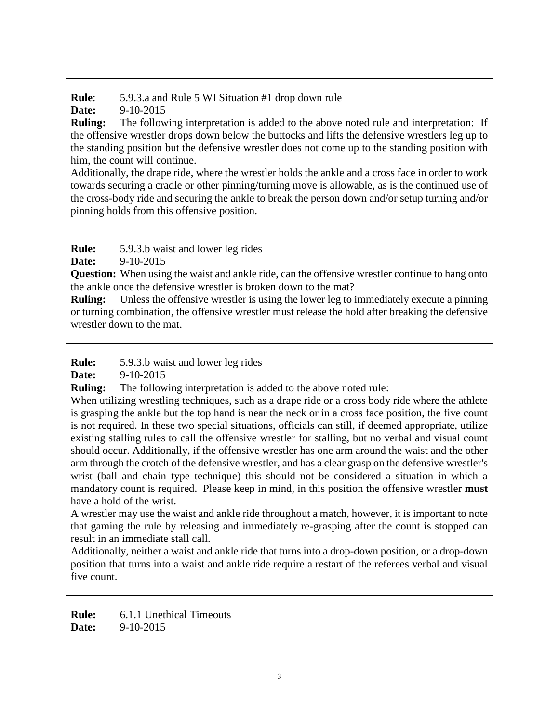**Rule**: 5.9.3.a and Rule 5 WI Situation #1 drop down rule

**Date:** 9-10-2015

**Ruling:** The following interpretation is added to the above noted rule and interpretation: If the offensive wrestler drops down below the buttocks and lifts the defensive wrestlers leg up to the standing position but the defensive wrestler does not come up to the standing position with him, the count will continue.

Additionally, the drape ride, where the wrestler holds the ankle and a cross face in order to work towards securing a cradle or other pinning/turning move is allowable, as is the continued use of the cross-body ride and securing the ankle to break the person down and/or setup turning and/or pinning holds from this offensive position.

**Rule:** 5.9.3.b waist and lower leg rides

**Date:** 9-10-2015

**Question:** When using the waist and ankle ride, can the offensive wrestler continue to hang onto the ankle once the defensive wrestler is broken down to the mat?

**Ruling:** Unless the offensive wrestler is using the lower leg to immediately execute a pinning or turning combination, the offensive wrestler must release the hold after breaking the defensive wrestler down to the mat.

**Rule:** 5.9.3.b waist and lower leg rides

**Date:** 9-10-2015

**Ruling:** The following interpretation is added to the above noted rule:

When utilizing wrestling techniques, such as a drape ride or a cross body ride where the athlete is grasping the ankle but the top hand is near the neck or in a cross face position, the five count is not required. In these two special situations, officials can still, if deemed appropriate, utilize existing stalling rules to call the offensive wrestler for stalling, but no verbal and visual count should occur. Additionally, if the offensive wrestler has one arm around the waist and the other arm through the crotch of the defensive wrestler, and has a clear grasp on the defensive wrestler's wrist (ball and chain type technique) this should not be considered a situation in which a mandatory count is required. Please keep in mind, in this position the offensive wrestler **must** have a hold of the wrist.

A wrestler may use the waist and ankle ride throughout a match, however, it is important to note that gaming the rule by releasing and immediately re-grasping after the count is stopped can result in an immediate stall call.

Additionally, neither a waist and ankle ride that turns into a drop-down position, or a drop-down position that turns into a waist and ankle ride require a restart of the referees verbal and visual five count.

**Rule:** 6.1.1 Unethical Timeouts **Date:** 9-10-2015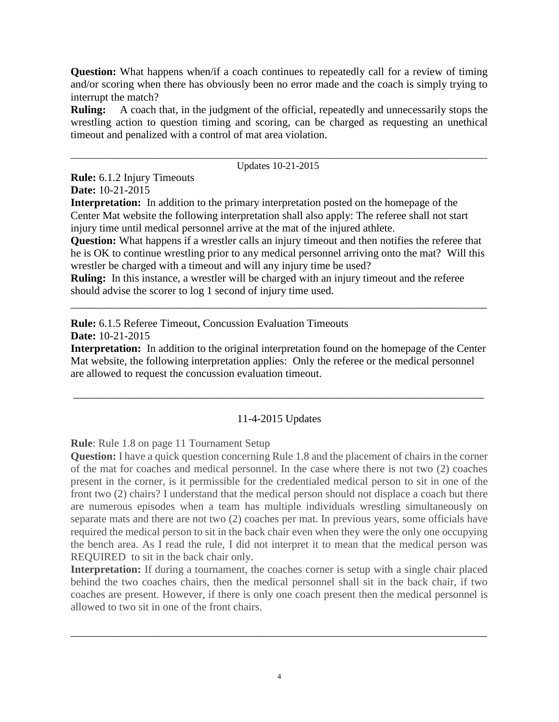**Question:** What happens when/if a coach continues to repeatedly call for a review of timing and/or scoring when there has obviously been no error made and the coach is simply trying to interrupt the match?

**Ruling:** A coach that, in the judgment of the official, repeatedly and unnecessarily stops the wrestling action to question timing and scoring, can be charged as requesting an unethical timeout and penalized with a control of mat area violation.

#### \_\_\_\_\_\_\_\_\_\_\_\_\_\_\_\_\_\_\_\_\_\_\_\_\_\_\_\_\_\_\_\_\_\_\_\_\_\_\_\_\_\_\_\_\_\_\_\_\_\_\_\_\_\_\_\_\_\_\_\_\_\_\_\_\_\_\_\_\_\_\_\_\_\_\_\_\_\_\_\_\_\_\_ Updates 10-21-2015

**Rule:** 6.1.2 Injury Timeouts **Date:** 10-21-2015

**Interpretation:** In addition to the primary interpretation posted on the homepage of the Center Mat website the following interpretation shall also apply: The referee shall not start injury time until medical personnel arrive at the mat of the injured athlete.

**Question:** What happens if a wrestler calls an injury timeout and then notifies the referee that he is OK to continue wrestling prior to any medical personnel arriving onto the mat? Will this wrestler be charged with a timeout and will any injury time be used?

\_\_\_\_\_\_\_\_\_\_\_\_\_\_\_\_\_\_\_\_\_\_\_\_\_\_\_\_\_\_\_\_\_\_\_\_\_\_\_\_\_\_\_\_\_\_\_\_\_\_\_\_\_\_\_\_\_\_\_\_\_\_\_\_\_\_\_\_\_\_\_\_\_\_\_\_

**Ruling:** In this instance, a wrestler will be charged with an injury timeout and the referee should advise the scorer to log 1 second of injury time used.

**Rule:** 6.1.5 Referee Timeout, Concussion Evaluation Timeouts **Date:** 10-21-2015

**Interpretation:** In addition to the original interpretation found on the homepage of the Center Mat website, the following interpretation applies: Only the referee or the medical personnel

are allowed to request the concussion evaluation timeout.

# 11-4-2015 Updates

\_\_\_\_\_\_\_\_\_\_\_\_\_\_\_\_\_\_\_\_\_\_\_\_\_\_\_\_\_\_\_\_\_\_\_\_\_\_\_\_\_\_\_\_\_\_\_\_\_\_\_\_\_\_\_\_\_\_\_\_\_\_\_\_\_\_\_\_\_\_\_\_\_\_\_

**Rule**: Rule 1.8 on page 11 Tournament Setup

**Question:** I have a quick question concerning Rule 1.8 and the placement of chairs in the corner of the mat for coaches and medical personnel. In the case where there is not two (2) coaches present in the corner, is it permissible for the credentialed medical person to sit in one of the front two (2) chairs? I understand that the medical person should not displace a coach but there are numerous episodes when a team has multiple individuals wrestling simultaneously on separate mats and there are not two (2) coaches per mat. In previous years, some officials have required the medical person to sit in the back chair even when they were the only one occupying the bench area. As I read the rule, I did not interpret it to mean that the medical person was REQUIRED to sit in the back chair only.

Interpretation: If during a tournament, the coaches corner is setup with a single chair placed behind the two coaches chairs, then the medical personnel shall sit in the back chair, if two coaches are present. However, if there is only one coach present then the medical personnel is allowed to two sit in one of the front chairs.

\_\_\_\_\_\_\_\_\_\_\_\_\_\_\_\_\_\_\_\_\_\_\_\_\_\_\_\_\_\_\_\_\_\_\_\_\_\_\_\_\_\_\_\_\_\_\_\_\_\_\_\_\_\_\_\_\_\_\_\_\_\_\_\_\_\_\_\_\_\_\_\_\_\_\_\_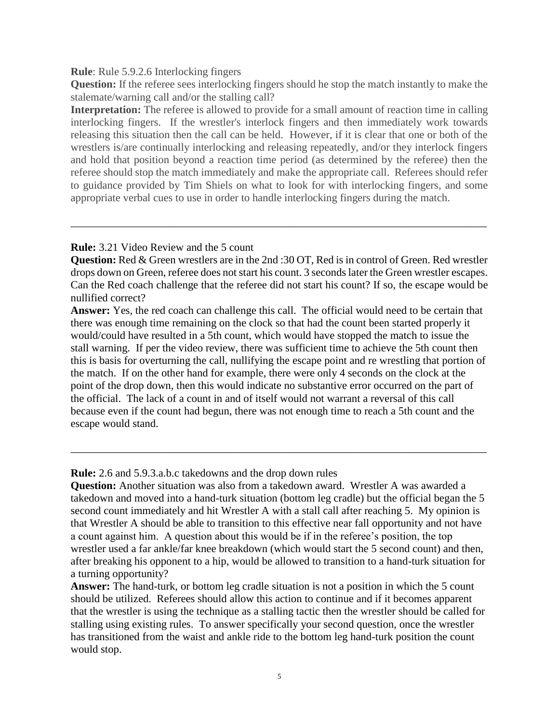#### **Rule**: Rule 5.9.2.6 Interlocking fingers

**Question:** If the referee sees interlocking fingers should he stop the match instantly to make the stalemate/warning call and/or the stalling call?

**Interpretation:** The referee is allowed to provide for a small amount of reaction time in calling interlocking fingers. If the wrestler's interlock fingers and then immediately work towards releasing this situation then the call can be held. However, if it is clear that one or both of the wrestlers is/are continually interlocking and releasing repeatedly, and/or they interlock fingers and hold that position beyond a reaction time period (as determined by the referee) then the referee should stop the match immediately and make the appropriate call. Referees should refer to guidance provided by Tim Shiels on what to look for with interlocking fingers, and some appropriate verbal cues to use in order to handle interlocking fingers during the match.

## **Rule:** 3.21 Video Review and the 5 count

**Question:** Red & Green wrestlers are in the 2nd :30 OT, Red is in control of Green. Red wrestler drops down on Green, referee does not start his count. 3 seconds later the Green wrestler escapes. Can the Red coach challenge that the referee did not start his count? If so, the escape would be nullified correct?

\_\_\_\_\_\_\_\_\_\_\_\_\_\_\_\_\_\_\_\_\_\_\_\_\_\_\_\_\_\_\_\_\_\_\_\_\_\_\_\_\_\_\_\_\_\_\_\_\_\_\_\_\_\_\_\_\_\_\_\_\_\_\_\_\_\_\_\_\_\_\_\_\_\_\_\_

**Answer:** Yes, the red coach can challenge this call. The official would need to be certain that there was enough time remaining on the clock so that had the count been started properly it would/could have resulted in a 5th count, which would have stopped the match to issue the stall warning. If per the video review, there was sufficient time to achieve the 5th count then this is basis for overturning the call, nullifying the escape point and re wrestling that portion of the match. If on the other hand for example, there were only 4 seconds on the clock at the point of the drop down, then this would indicate no substantive error occurred on the part of the official. The lack of a count in and of itself would not warrant a reversal of this call because even if the count had begun, there was not enough time to reach a 5th count and the escape would stand.

**Rule:** 2.6 and 5.9.3.a.b.c takedowns and the drop down rules

**Question:** Another situation was also from a takedown award. Wrestler A was awarded a takedown and moved into a hand-turk situation (bottom leg cradle) but the official began the 5 second count immediately and hit Wrestler A with a stall call after reaching 5. My opinion is that Wrestler A should be able to transition to this effective near fall opportunity and not have a count against him. A question about this would be if in the referee's position, the top wrestler used a far ankle/far knee breakdown (which would start the 5 second count) and then, after breaking his opponent to a hip, would be allowed to transition to a hand-turk situation for a turning opportunity?

\_\_\_\_\_\_\_\_\_\_\_\_\_\_\_\_\_\_\_\_\_\_\_\_\_\_\_\_\_\_\_\_\_\_\_\_\_\_\_\_\_\_\_\_\_\_\_\_\_\_\_\_\_\_\_\_\_\_\_\_\_\_\_\_\_\_\_\_\_\_\_\_\_\_\_\_

**Answer:** The hand-turk, or bottom leg cradle situation is not a position in which the 5 count should be utilized. Referees should allow this action to continue and if it becomes apparent that the wrestler is using the technique as a stalling tactic then the wrestler should be called for stalling using existing rules. To answer specifically your second question, once the wrestler has transitioned from the waist and ankle ride to the bottom leg hand-turk position the count would stop.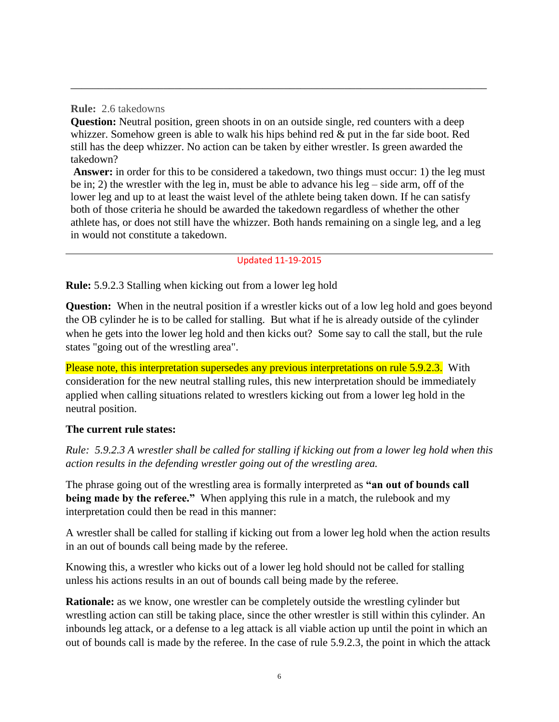**Rule:** 2.6 takedowns

**Question:** Neutral position, green shoots in on an outside single, red counters with a deep whizzer. Somehow green is able to walk his hips behind red & put in the far side boot. Red still has the deep whizzer. No action can be taken by either wrestler. Is green awarded the takedown?

\_\_\_\_\_\_\_\_\_\_\_\_\_\_\_\_\_\_\_\_\_\_\_\_\_\_\_\_\_\_\_\_\_\_\_\_\_\_\_\_\_\_\_\_\_\_\_\_\_\_\_\_\_\_\_\_\_\_\_\_\_\_\_\_\_\_\_\_\_\_\_\_\_\_\_\_

**Answer:** in order for this to be considered a takedown, two things must occur: 1) the leg must be in; 2) the wrestler with the leg in, must be able to advance his leg – side arm, off of the lower leg and up to at least the waist level of the athlete being taken down. If he can satisfy both of those criteria he should be awarded the takedown regardless of whether the other athlete has, or does not still have the whizzer. Both hands remaining on a single leg, and a leg in would not constitute a takedown.

### Updated 11-19-2015

**Rule:** 5.9.2.3 Stalling when kicking out from a lower leg hold

**Question:** When in the neutral position if a wrestler kicks out of a low leg hold and goes beyond the OB cylinder he is to be called for stalling. But what if he is already outside of the cylinder when he gets into the lower leg hold and then kicks out? Some say to call the stall, but the rule states "going out of the wrestling area".

Please note, this interpretation supersedes any previous interpretations on rule 5.9.2.3. With consideration for the new neutral stalling rules, this new interpretation should be immediately applied when calling situations related to wrestlers kicking out from a lower leg hold in the neutral position.

## **The current rule states:**

*Rule: 5.9.2.3 A wrestler shall be called for stalling if kicking out from a lower leg hold when this action results in the defending wrestler going out of the wrestling area.*

The phrase going out of the wrestling area is formally interpreted as **"an out of bounds call being made by the referee."** When applying this rule in a match, the rulebook and my interpretation could then be read in this manner:

A wrestler shall be called for stalling if kicking out from a lower leg hold when the action results in an out of bounds call being made by the referee.

Knowing this, a wrestler who kicks out of a lower leg hold should not be called for stalling unless his actions results in an out of bounds call being made by the referee.

**Rationale:** as we know, one wrestler can be completely outside the wrestling cylinder but wrestling action can still be taking place, since the other wrestler is still within this cylinder. An inbounds leg attack, or a defense to a leg attack is all viable action up until the point in which an out of bounds call is made by the referee. In the case of rule 5.9.2.3, the point in which the attack